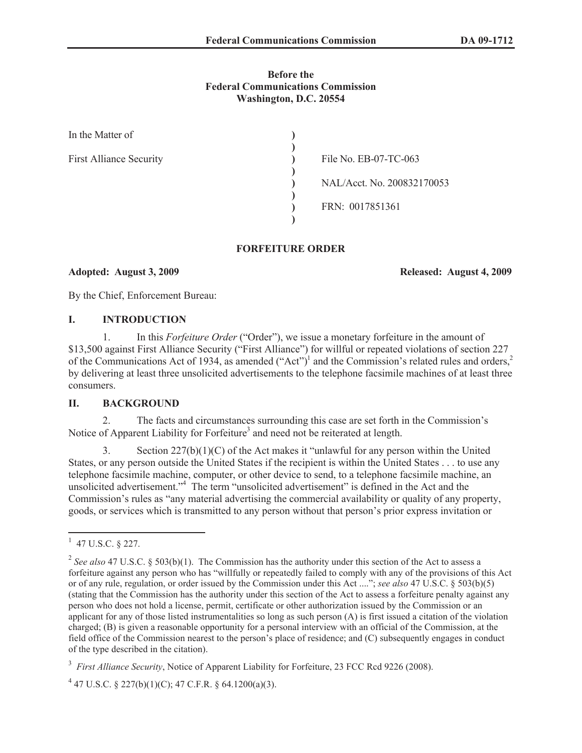# **Before the Federal Communications Commission Washington, D.C. 20554**

| In the Matter of               |                            |
|--------------------------------|----------------------------|
| <b>First Alliance Security</b> | File No. EB-07-TC-063      |
|                                | NAL/Acct. No. 200832170053 |
|                                | FRN: 0017851361            |
|                                |                            |

# **FORFEITURE ORDER**

# **Adopted: August 3, 2009 Released: August 4, 2009**

By the Chief, Enforcement Bureau:

# **I. INTRODUCTION**

1. In this *Forfeiture Order* ("Order"), we issue a monetary forfeiture in the amount of \$13,500 against First Alliance Security ("First Alliance") for willful or repeated violations of section 227 of the Communications Act of 1934, as amended ("Act")<sup>1</sup> and the Commission's related rules and orders,<sup>2</sup> by delivering at least three unsolicited advertisements to the telephone facsimile machines of at least three consumers.

# **II. BACKGROUND**

2. The facts and circumstances surrounding this case are set forth in the Commission's Notice of Apparent Liability for Forfeiture<sup>3</sup> and need not be reiterated at length.

3. Section  $227(b)(1)(C)$  of the Act makes it "unlawful for any person within the United States, or any person outside the United States if the recipient is within the United States . . . to use any telephone facsimile machine, computer, or other device to send, to a telephone facsimile machine, an unsolicited advertisement." <sup>4</sup> The term "unsolicited advertisement" is defined in the Act and the Commission's rules as "any material advertising the commercial availability or quality of any property, goods, or services which is transmitted to any person without that person's prior express invitation or

 $1$  47 U.S.C. § 227.

<sup>&</sup>lt;sup>2</sup> See also 47 U.S.C. § 503(b)(1). The Commission has the authority under this section of the Act to assess a forfeiture against any person who has "willfully or repeatedly failed to comply with any of the provisions of this Act or of any rule, regulation, or order issued by the Commission under this Act ...."; *see also* 47 U.S.C. § 503(b)(5) (stating that the Commission has the authority under this section of the Act to assess a forfeiture penalty against any person who does not hold a license, permit, certificate or other authorization issued by the Commission or an applicant for any of those listed instrumentalities so long as such person (A) is first issued a citation of the violation charged; (B) is given a reasonable opportunity for a personal interview with an official of the Commission, at the field office of the Commission nearest to the person's place of residence; and (C) subsequently engages in conduct of the type described in the citation).

<sup>&</sup>lt;sup>3</sup> First Alliance Security, Notice of Apparent Liability for Forfeiture, 23 FCC Rcd 9226 (2008).

 $4\overline{4}$  47 U.S.C. § 227(b)(1)(C); 47 C.F.R. § 64.1200(a)(3).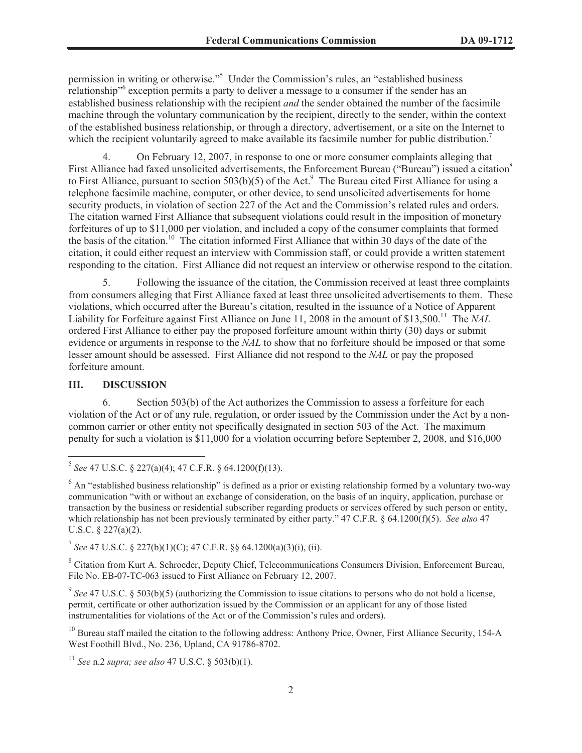permission in writing or otherwise."<sup>5</sup> Under the Commission's rules, an "established business relationship<sup>16</sup> exception permits a party to deliver a message to a consumer if the sender has an established business relationship with the recipient *and* the sender obtained the number of the facsimile machine through the voluntary communication by the recipient, directly to the sender, within the context of the established business relationship, or through a directory, advertisement, or a site on the Internet to which the recipient voluntarily agreed to make available its facsimile number for public distribution.<sup>7</sup>

4. On February 12, 2007, in response to one or more consumer complaints alleging that First Alliance had faxed unsolicited advertisements, the Enforcement Bureau ("Bureau") issued a citation<sup>8</sup> to First Alliance, pursuant to section  $503(b)(5)$  of the Act.<sup>9</sup> The Bureau cited First Alliance for using a telephone facsimile machine, computer, or other device, to send unsolicited advertisements for home security products, in violation of section 227 of the Act and the Commission's related rules and orders. The citation warned First Alliance that subsequent violations could result in the imposition of monetary forfeitures of up to \$11,000 per violation, and included a copy of the consumer complaints that formed the basis of the citation.<sup>10</sup> The citation informed First Alliance that within 30 days of the date of the citation, it could either request an interview with Commission staff, or could provide a written statement responding to the citation. First Alliance did not request an interview or otherwise respond to the citation.

5. Following the issuance of the citation, the Commission received at least three complaints from consumers alleging that First Alliance faxed at least three unsolicited advertisements to them. These violations, which occurred after the Bureau's citation, resulted in the issuance of a Notice of Apparent Liability for Forfeiture against First Alliance on June 11, 2008 in the amount of \$13,500.<sup>11</sup> The *NAL* ordered First Alliance to either pay the proposed forfeiture amount within thirty (30) days or submit evidence or arguments in response to the *NAL* to show that no forfeiture should be imposed or that some lesser amount should be assessed. First Alliance did not respond to the *NAL* or pay the proposed forfeiture amount.

#### **III. DISCUSSION**

6. Section 503(b) of the Act authorizes the Commission to assess a forfeiture for each violation of the Act or of any rule, regulation, or order issued by the Commission under the Act by a noncommon carrier or other entity not specifically designated in section 503 of the Act. The maximum penalty for such a violation is \$11,000 for a violation occurring before September 2, 2008, and \$16,000

<sup>5</sup> *See* 47 U.S.C. § 227(a)(4); 47 C.F.R. § 64.1200(f)(13).

 $6$  An "established business relationship" is defined as a prior or existing relationship formed by a voluntary two-way communication "with or without an exchange of consideration, on the basis of an inquiry, application, purchase or transaction by the business or residential subscriber regarding products or services offered by such person or entity, which relationship has not been previously terminated by either party." 47 C.F.R. § 64.1200(f)(5). *See also* 47 U.S.C. § 227(a)(2).

<sup>7</sup> *See* 47 U.S.C. § 227(b)(1)(C); 47 C.F.R. §§ 64.1200(a)(3)(i), (ii).

<sup>&</sup>lt;sup>8</sup> Citation from Kurt A. Schroeder, Deputy Chief, Telecommunications Consumers Division, Enforcement Bureau, File No. EB-07-TC-063 issued to First Alliance on February 12, 2007.

<sup>&</sup>lt;sup>9</sup> See 47 U.S.C. § 503(b)(5) (authorizing the Commission to issue citations to persons who do not hold a license, permit, certificate or other authorization issued by the Commission or an applicant for any of those listed instrumentalities for violations of the Act or of the Commission's rules and orders).

 $10$  Bureau staff mailed the citation to the following address: Anthony Price, Owner, First Alliance Security, 154-A West Foothill Blvd., No. 236, Upland, CA 91786-8702.

<sup>11</sup> *See* n.2 *supra; see also* 47 U.S.C. § 503(b)(1).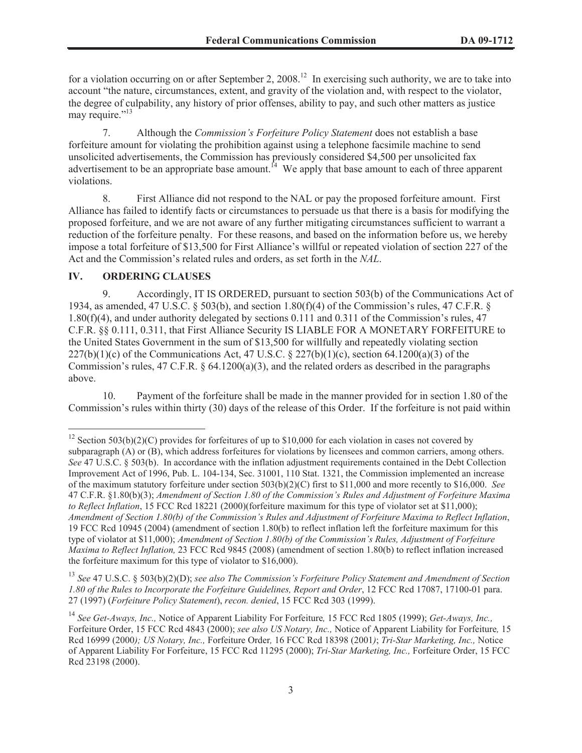for a violation occurring on or after September 2, 2008.<sup>12</sup> In exercising such authority, we are to take into account "the nature, circumstances, extent, and gravity of the violation and, with respect to the violator, the degree of culpability, any history of prior offenses, ability to pay, and such other matters as justice may require."<sup>13</sup>

7. Although the *Commission's Forfeiture Policy Statement* does not establish a base forfeiture amount for violating the prohibition against using a telephone facsimile machine to send unsolicited advertisements, the Commission has previously considered \$4,500 per unsolicited fax advertisement to be an appropriate base amount.<sup>14</sup> We apply that base amount to each of three apparent violations.

8. First Alliance did not respond to the NAL or pay the proposed forfeiture amount. First Alliance has failed to identify facts or circumstances to persuade us that there is a basis for modifying the proposed forfeiture, and we are not aware of any further mitigating circumstances sufficient to warrant a reduction of the forfeiture penalty. For these reasons, and based on the information before us, we hereby impose a total forfeiture of \$13,500 for First Alliance's willful or repeated violation of section 227 of the Act and the Commission's related rules and orders, as set forth in the *NAL*.

### **IV. ORDERING CLAUSES**

9. Accordingly, IT IS ORDERED, pursuant to section 503(b) of the Communications Act of 1934, as amended, 47 U.S.C. § 503(b), and section 1.80(f)(4) of the Commission's rules, 47 C.F.R. § 1.80(f)(4), and under authority delegated by sections 0.111 and 0.311 of the Commission's rules, 47 C.F.R. §§ 0.111, 0.311, that First Alliance Security IS LIABLE FOR A MONETARY FORFEITURE to the United States Government in the sum of \$13,500 for willfully and repeatedly violating section  $227(b)(1)(c)$  of the Communications Act, 47 U.S.C. § 227(b)(1)(c), section 64.1200(a)(3) of the Commission's rules,  $47 \text{ C.F.R. }$  §  $64.1200(a)(3)$ , and the related orders as described in the paragraphs above.

10. Payment of the forfeiture shall be made in the manner provided for in section 1.80 of the Commission's rules within thirty (30) days of the release of this Order. If the forfeiture is not paid within

<sup>&</sup>lt;sup>12</sup> Section 503(b)(2)(C) provides for forfeitures of up to \$10,000 for each violation in cases not covered by subparagraph (A) or (B), which address forfeitures for violations by licensees and common carriers, among others. *See* 47 U.S.C. § 503(b). In accordance with the inflation adjustment requirements contained in the Debt Collection Improvement Act of 1996, Pub. L. 104-134, Sec. 31001, 110 Stat. 1321, the Commission implemented an increase of the maximum statutory forfeiture under section 503(b)(2)(C) first to \$11,000 and more recently to \$16,000. *See* 47 C.F.R. §1.80(b)(3); *Amendment of Section 1.80 of the Commission's Rules and Adjustment of Forfeiture Maxima to Reflect Inflation*, 15 FCC Rcd 18221 (2000)(forfeiture maximum for this type of violator set at \$11,000); *Amendment of Section 1.80(b) of the Commission's Rules and Adjustment of Forfeiture Maxima to Reflect Inflation*, 19 FCC Rcd 10945 (2004) (amendment of section 1.80(b) to reflect inflation left the forfeiture maximum for this type of violator at \$11,000); *Amendment of Section 1.80(b) of the Commission's Rules, Adjustment of Forfeiture Maxima to Reflect Inflation,* 23 FCC Rcd 9845 (2008) (amendment of section 1.80(b) to reflect inflation increased the forfeiture maximum for this type of violator to \$16,000).

<sup>13</sup> *See* 47 U.S.C. § 503(b)(2)(D); *see also The Commission's Forfeiture Policy Statement and Amendment of Section 1.80 of the Rules to Incorporate the Forfeiture Guidelines, Report and Order*, 12 FCC Rcd 17087, 17100-01 para. 27 (1997) (*Forfeiture Policy Statement*), *recon. denied*, 15 FCC Rcd 303 (1999).

<sup>14</sup> *See Get-Aways, Inc.,* Notice of Apparent Liability For Forfeiture*,* 15 FCC Rcd 1805 (1999); *Get-Aways, Inc.,*  Forfeiture Order, 15 FCC Rcd 4843 (2000); *see also US Notary, Inc.,* Notice of Apparent Liability for Forfeiture*,* 15 Rcd 16999 (2000*); US Notary, Inc.,* Forfeiture Order*,* 16 FCC Rcd 18398 (2001*)*; *Tri-Star Marketing, Inc.,* Notice of Apparent Liability For Forfeiture, 15 FCC Rcd 11295 (2000); *Tri-Star Marketing, Inc.,* Forfeiture Order, 15 FCC Rcd 23198 (2000).